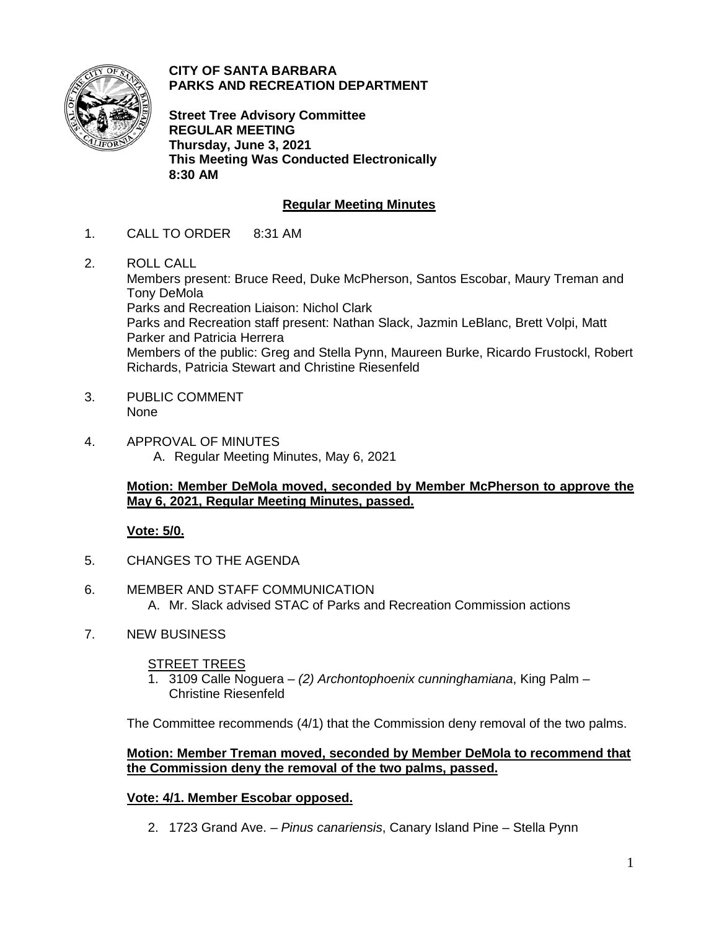

**CITY OF SANTA BARBARA PARKS AND RECREATION DEPARTMENT**

**Street Tree Advisory Committee REGULAR MEETING Thursday, June 3, 2021 This Meeting Was Conducted Electronically 8:30 AM**

# **Regular Meeting Minutes**

- 1. CALL TO ORDER 8:31 AM
- 2. ROLL CALL

Members present: Bruce Reed, Duke McPherson, Santos Escobar, Maury Treman and Tony DeMola Parks and Recreation Liaison: Nichol Clark Parks and Recreation staff present: Nathan Slack, Jazmin LeBlanc, Brett Volpi, Matt Parker and Patricia Herrera Members of the public: Greg and Stella Pynn, Maureen Burke, Ricardo Frustockl, Robert Richards, Patricia Stewart and Christine Riesenfeld

- 3. PUBLIC COMMENT None
- 4. APPROVAL OF MINUTES A. Regular Meeting Minutes, May 6, 2021

### **Motion: Member DeMola moved, seconded by Member McPherson to approve the May 6, 2021, Regular Meeting Minutes, passed.**

# **Vote: 5/0.**

- 5. CHANGES TO THE AGENDA
- 6. MEMBER AND STAFF COMMUNICATION A. Mr. Slack advised STAC of Parks and Recreation Commission actions
- 7. NEW BUSINESS

# **STREET TREES**

1. 3109 Calle Noguera – *(2) Archontophoenix cunninghamiana*, King Palm – Christine Riesenfeld

The Committee recommends (4/1) that the Commission deny removal of the two palms.

### **Motion: Member Treman moved, seconded by Member DeMola to recommend that the Commission deny the removal of the two palms, passed.**

# **Vote: 4/1. Member Escobar opposed.**

2. 1723 Grand Ave. – *Pinus canariensis*, Canary Island Pine – Stella Pynn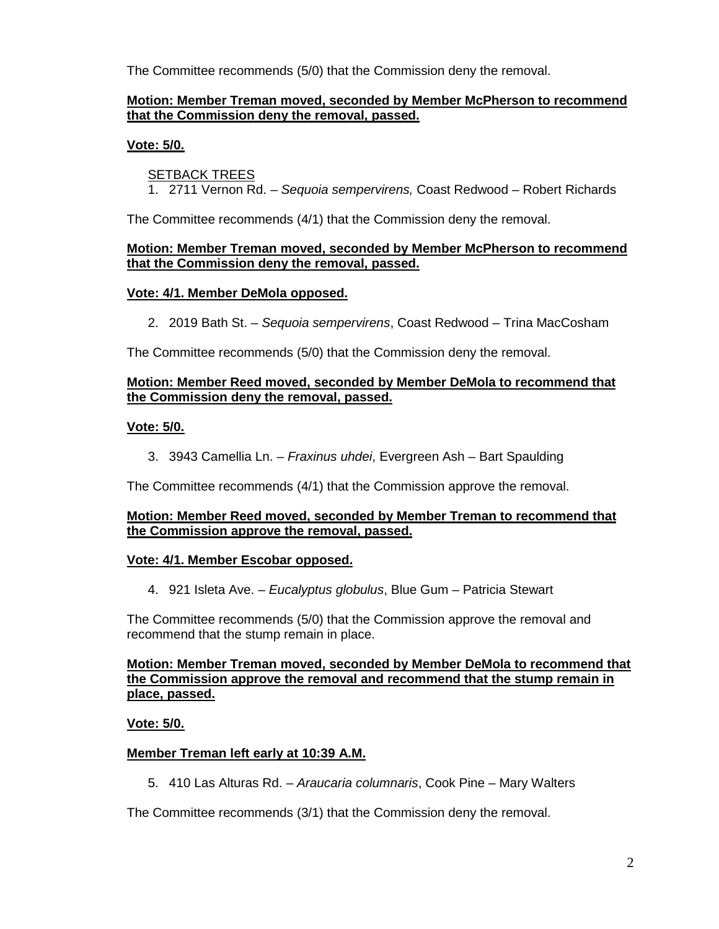The Committee recommends (5/0) that the Commission deny the removal.

### **Motion: Member Treman moved, seconded by Member McPherson to recommend that the Commission deny the removal, passed.**

# **Vote: 5/0.**

SETBACK TREES 1. 2711 Vernon Rd. – *Sequoia sempervirens,* Coast Redwood – Robert Richards

The Committee recommends (4/1) that the Commission deny the removal.

### **Motion: Member Treman moved, seconded by Member McPherson to recommend that the Commission deny the removal, passed.**

# **Vote: 4/1. Member DeMola opposed.**

2. 2019 Bath St. – *Sequoia sempervirens*, Coast Redwood – Trina MacCosham

The Committee recommends (5/0) that the Commission deny the removal.

### **Motion: Member Reed moved, seconded by Member DeMola to recommend that the Commission deny the removal, passed.**

# **Vote: 5/0.**

3. 3943 Camellia Ln. – *Fraxinus uhdei*, Evergreen Ash – Bart Spaulding

The Committee recommends (4/1) that the Commission approve the removal.

### **Motion: Member Reed moved, seconded by Member Treman to recommend that the Commission approve the removal, passed.**

# **Vote: 4/1. Member Escobar opposed.**

4. 921 Isleta Ave. – *Eucalyptus globulus*, Blue Gum – Patricia Stewart

The Committee recommends (5/0) that the Commission approve the removal and recommend that the stump remain in place.

#### **Motion: Member Treman moved, seconded by Member DeMola to recommend that the Commission approve the removal and recommend that the stump remain in place, passed.**

# **Vote: 5/0.**

# **Member Treman left early at 10:39 A.M.**

5. 410 Las Alturas Rd. – *Araucaria columnaris*, Cook Pine – Mary Walters

The Committee recommends (3/1) that the Commission deny the removal.